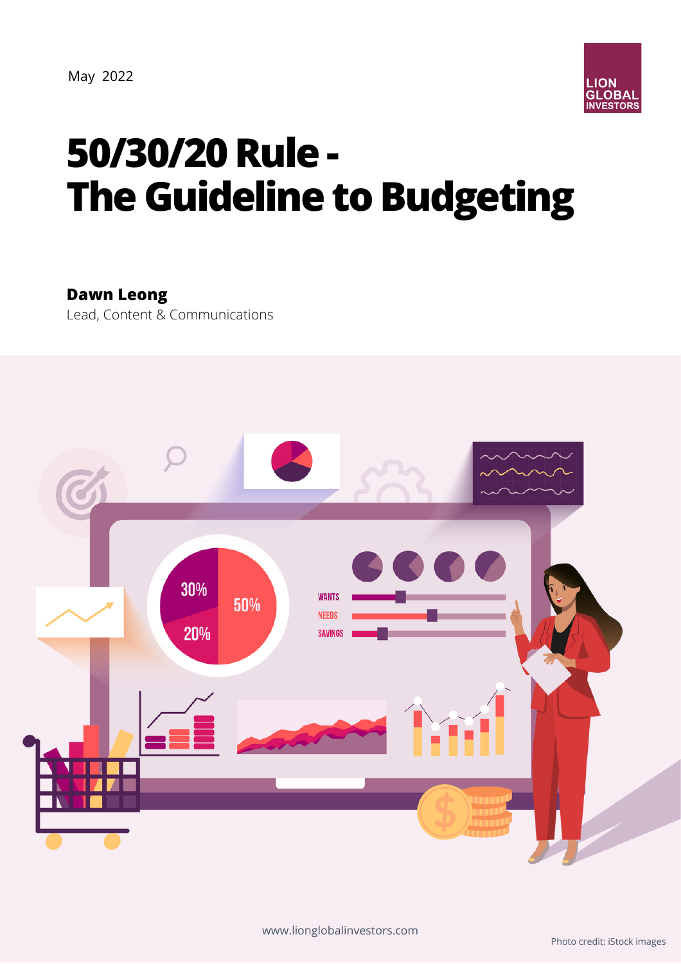

# **50/30/20Rule - The Guideline to Budgeting**

**Dawn Leong**

Lead, Content & Communications

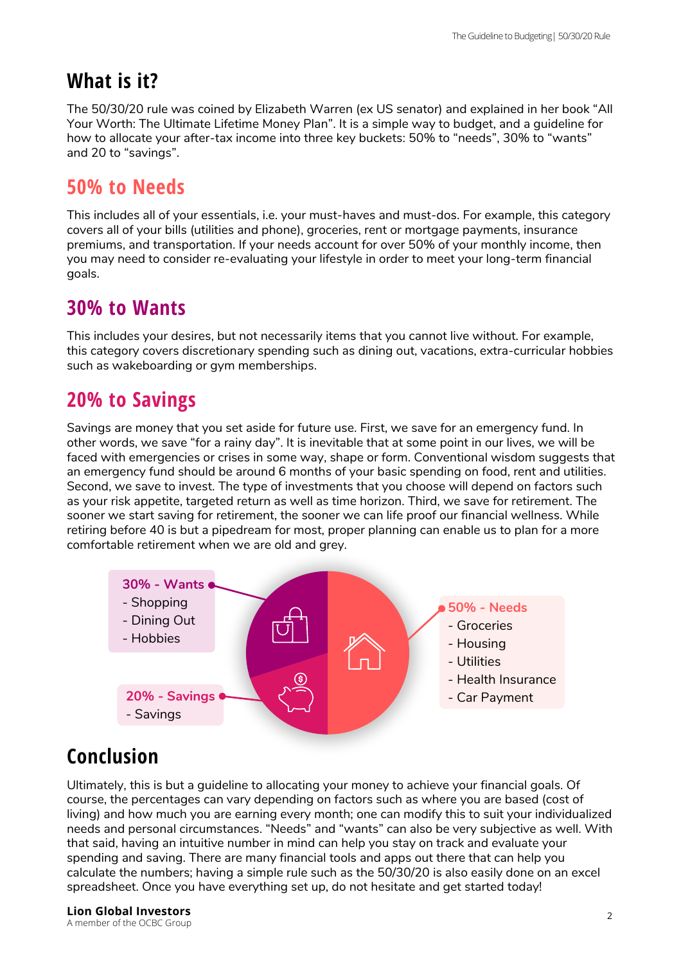# **What is it?**

The 50/30/20 rule was coined by Elizabeth Warren (ex US senator) and explained in her book "All Your Worth: The Ultimate Lifetime Money Plan". It is a simple way to budget, and a guideline for how to allocate your after-tax income into three key buckets: 50% to "needs", 30% to "wants" and 20 to "savings".

#### **50% to Needs**

This includes all of your essentials, i.e. your must-haves and must-dos. For example, this category covers all of your bills (utilities and phone), groceries, rent or mortgage payments, insurance premiums, and transportation. If your needs account for over 50% of your monthly income, then you may need to consider re-evaluating your lifestyle in order to meet your long-term financial goals.

#### **30% to Wants**

This includes your desires, but not necessarily items that you cannot live without. For example, this category covers discretionary spending such as dining out, vacations, extra-curricular hobbies such as wakeboarding or gym memberships.

## **20% to Savings**

Savings are money that you set aside for future use. First, we save for an emergency fund. In other words, we save "for a rainy day". It is inevitable that at some point in our lives, we will be faced with emergencies or crises in some way, shape or form. Conventional wisdom suggests that an emergency fund should be around 6 months of your basic spending on food, rent and utilities. Second, we save to invest. The type of investments that you choose will depend on factors such as your risk appetite, targeted return as well as time horizon. Third, we save for retirement. The sooner we start saving for retirement, the sooner we can life proof our financial wellness. While retiring before 40 is but a pipedream for most, proper planning can enable us to plan for a more comfortable retirement when we are old and grey.



## **Conclusion**

Ultimately, this is but a guideline to allocating your money to achieve your financial goals. Of course, the percentages can vary depending on factors such as where you are based (cost of living) and how much you are earning every month; one can modify this to suit your individualized needs and personal circumstances. "Needs" and "wants" can also be very subjective as well. With that said, having an intuitive number in mind can help you stay on track and evaluate your spending and saving. There are many financial tools and apps out there that can help you calculate the numbers; having a simple rule such as the 50/30/20 is also easily done on an excel spreadsheet. Once you have everything set up, do not hesitate and get started today!

<sup>2</sup> **Lion Global Investors** A member of the OCBC Group